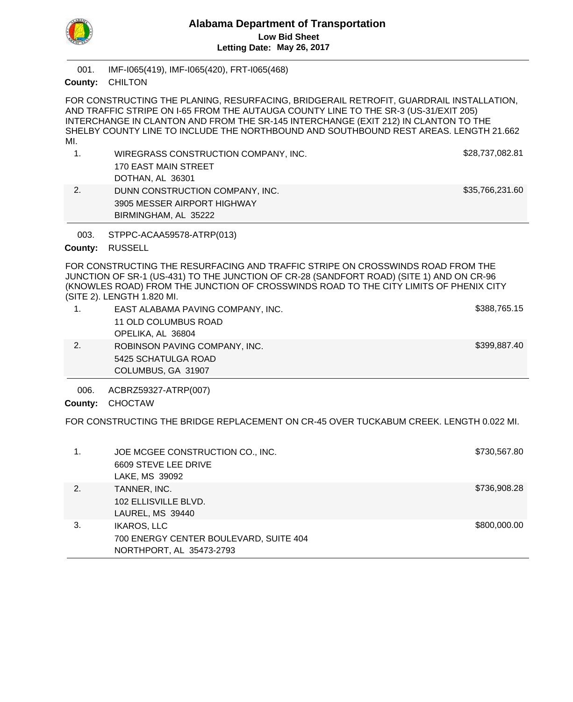

IMF-I065(419), IMF-I065(420), FRT-I065(468) 001.

CHILTON **County:**

FOR CONSTRUCTING THE PLANING, RESURFACING, BRIDGERAIL RETROFIT, GUARDRAIL INSTALLATION, AND TRAFFIC STRIPE ON I-65 FROM THE AUTAUGA COUNTY LINE TO THE SR-3 (US-31/EXIT 205) INTERCHANGE IN CLANTON AND FROM THE SR-145 INTERCHANGE (EXIT 212) IN CLANTON TO THE SHELBY COUNTY LINE TO INCLUDE THE NORTHBOUND AND SOUTHBOUND REST AREAS. LENGTH 21.662 MI.

| WIREGRASS CONSTRUCTION COMPANY, INC. | \$28,737,082.81 |
|--------------------------------------|-----------------|
| 170 EAST MAIN STREET                 |                 |
| DOTHAN, AL 36301                     |                 |
| DUNN CONSTRUCTION COMPANY, INC.      | \$35,766,231.60 |
| 3905 MESSER AIRPORT HIGHWAY          |                 |

STPPC-ACAA59578-ATRP(013) 003.

BIRMINGHAM, AL 35222

# County: RUSSELL

FOR CONSTRUCTING THE RESURFACING AND TRAFFIC STRIPE ON CROSSWINDS ROAD FROM THE JUNCTION OF SR-1 (US-431) TO THE JUNCTION OF CR-28 (SANDFORT ROAD) (SITE 1) AND ON CR-96 (KNOWLES ROAD) FROM THE JUNCTION OF CROSSWINDS ROAD TO THE CITY LIMITS OF PHENIX CITY (SITE 2). LENGTH 1.820 MI.

| EAST ALABAMA PAVING COMPANY, INC. | \$388,765.15 |
|-----------------------------------|--------------|
| 11 OLD COLUMBUS ROAD              |              |
| OPELIKA, AL 36804                 |              |
| ROBINSON PAVING COMPANY, INC.     | \$399,887.40 |
| 5425 SCHATULGA ROAD               |              |
| COLUMBUS, GA 31907                |              |

ACBRZ59327-ATRP(007) 006.

County: CHOCTAW

FOR CONSTRUCTING THE BRIDGE REPLACEMENT ON CR-45 OVER TUCKABUM CREEK. LENGTH 0.022 MI.

|    | JOE MCGEE CONSTRUCTION CO., INC.<br>6609 STEVE LEE DRIVE<br>LAKE, MS 39092               | \$730,567.80 |
|----|------------------------------------------------------------------------------------------|--------------|
| 2. | TANNER, INC.<br>102 ELLISVILLE BLVD.<br>LAUREL, MS 39440                                 | \$736,908.28 |
| 3. | <b>IKAROS, LLC</b><br>700 ENERGY CENTER BOULEVARD, SUITE 404<br>NORTHPORT, AL 35473-2793 | \$800,000.00 |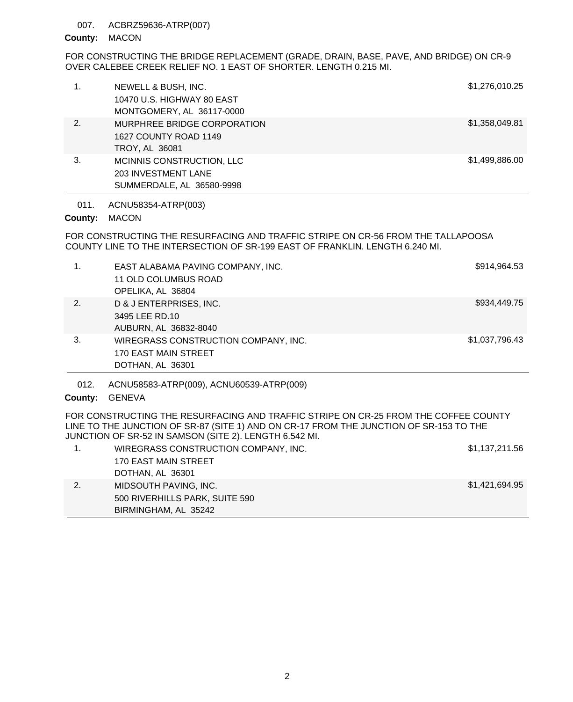#### ACBRZ59636-ATRP(007) 007.

## County: MACON

FOR CONSTRUCTING THE BRIDGE REPLACEMENT (GRADE, DRAIN, BASE, PAVE, AND BRIDGE) ON CR-9 OVER CALEBEE CREEK RELIEF NO. 1 EAST OF SHORTER. LENGTH 0.215 MI.

|    | NEWELL & BUSH, INC.<br>10470 U.S. HIGHWAY 80 EAST | \$1,276,010.25 |
|----|---------------------------------------------------|----------------|
|    | MONTGOMERY, AL 36117-0000                         |                |
| 2. | MURPHREE BRIDGE CORPORATION                       | \$1,358,049.81 |
|    | 1627 COUNTY ROAD 1149                             |                |
|    | <b>TROY, AL 36081</b>                             |                |
| 3. | MCINNIS CONSTRUCTION, LLC                         | \$1,499,886.00 |
|    | <b>203 INVESTMENT LANE</b>                        |                |
|    | SUMMERDALE, AL 36580-9998                         |                |
|    |                                                   |                |

ACNU58354-ATRP(003) 011.

# County: MACON

FOR CONSTRUCTING THE RESURFACING AND TRAFFIC STRIPE ON CR-56 FROM THE TALLAPOOSA COUNTY LINE TO THE INTERSECTION OF SR-199 EAST OF FRANKLIN. LENGTH 6.240 MI.

| 1. | EAST ALABAMA PAVING COMPANY, INC.<br>11 OLD COLUMBUS ROAD<br>OPELIKA, AL 36804   | \$914,964.53   |
|----|----------------------------------------------------------------------------------|----------------|
| 2. | D & J ENTERPRISES, INC.<br>3495 LEE RD.10<br>AUBURN, AL 36832-8040               | \$934,449.75   |
| 3. | WIREGRASS CONSTRUCTION COMPANY, INC.<br>170 EAST MAIN STREET<br>DOTHAN, AL 36301 | \$1,037,796.43 |

ACNU58583-ATRP(009), ACNU60539-ATRP(009) 012.

# County: GENEVA

FOR CONSTRUCTING THE RESURFACING AND TRAFFIC STRIPE ON CR-25 FROM THE COFFEE COUNTY LINE TO THE JUNCTION OF SR-87 (SITE 1) AND ON CR-17 FROM THE JUNCTION OF SR-153 TO THE JUNCTION OF SR-52 IN SAMSON (SITE 2). LENGTH 6.542 MI.

| WIREGRASS CONSTRUCTION COMPANY, INC. | \$1,137,211.56 |
|--------------------------------------|----------------|
| 170 EAST MAIN STREET                 |                |
| DOTHAN, AL 36301                     |                |
| MIDSOUTH PAVING, INC.                | \$1,421,694.95 |
| 500 RIVERHILLS PARK, SUITE 590       |                |
| BIRMINGHAM, AL 35242                 |                |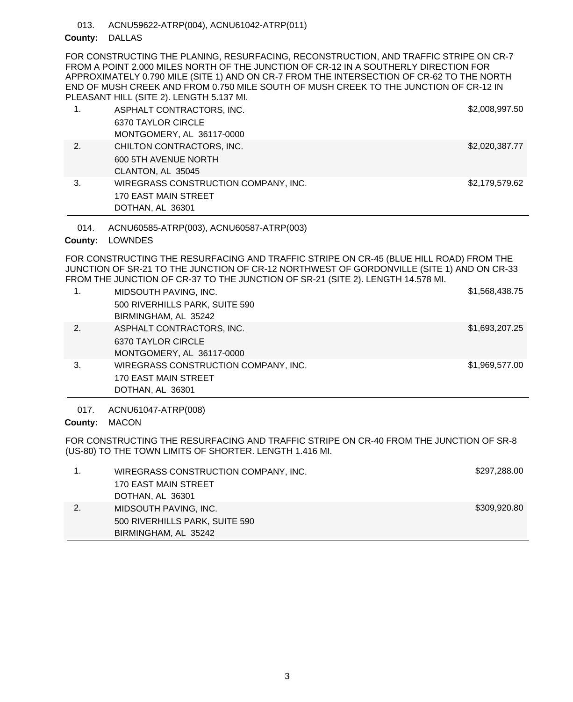ACNU59622-ATRP(004), ACNU61042-ATRP(011) 013.

# County: DALLAS

FOR CONSTRUCTING THE PLANING, RESURFACING, RECONSTRUCTION, AND TRAFFIC STRIPE ON CR-7 FROM A POINT 2.000 MILES NORTH OF THE JUNCTION OF CR-12 IN A SOUTHERLY DIRECTION FOR APPROXIMATELY 0.790 MILE (SITE 1) AND ON CR-7 FROM THE INTERSECTION OF CR-62 TO THE NORTH END OF MUSH CREEK AND FROM 0.750 MILE SOUTH OF MUSH CREEK TO THE JUNCTION OF CR-12 IN PLEASANT HILL (SITE 2). LENGTH 5.137 MI.

| 1. | ASPHALT CONTRACTORS, INC.            | \$2,008,997.50 |
|----|--------------------------------------|----------------|
|    | 6370 TAYLOR CIRCLE                   |                |
|    | MONTGOMERY, AL 36117-0000            |                |
| 2. | CHILTON CONTRACTORS, INC.            | \$2,020,387.77 |
|    | 600 5TH AVENUE NORTH                 |                |
|    | CLANTON, AL 35045                    |                |
| 3. | WIREGRASS CONSTRUCTION COMPANY, INC. | \$2,179,579.62 |
|    | <b>170 EAST MAIN STREET</b>          |                |
|    | DOTHAN, AL 36301                     |                |

ACNU60585-ATRP(003), ACNU60587-ATRP(003) 014.

County: LOWNDES

FOR CONSTRUCTING THE RESURFACING AND TRAFFIC STRIPE ON CR-45 (BLUE HILL ROAD) FROM THE JUNCTION OF SR-21 TO THE JUNCTION OF CR-12 NORTHWEST OF GORDONVILLE (SITE 1) AND ON CR-33 FROM THE JUNCTION OF CR-37 TO THE JUNCTION OF SR-21 (SITE 2). LENGTH 14.578 MI.

| 1. | MIDSOUTH PAVING, INC.                                                                   | \$1,568,438.75 |
|----|-----------------------------------------------------------------------------------------|----------------|
|    | 500 RIVERHILLS PARK, SUITE 590<br>BIRMINGHAM, AL 35242                                  |                |
| 2. | ASPHALT CONTRACTORS, INC.<br>6370 TAYLOR CIRCLE                                         | \$1,693,207.25 |
|    | MONTGOMERY, AL 36117-0000                                                               |                |
| 3. | WIREGRASS CONSTRUCTION COMPANY, INC.<br><b>170 EAST MAIN STREET</b><br>DOTHAN, AL 36301 | \$1,969,577.00 |
|    |                                                                                         |                |

ACNU61047-ATRP(008) 017.

County: MACON

FOR CONSTRUCTING THE RESURFACING AND TRAFFIC STRIPE ON CR-40 FROM THE JUNCTION OF SR-8 (US-80) TO THE TOWN LIMITS OF SHORTER. LENGTH 1.416 MI.

| WIREGRASS CONSTRUCTION COMPANY, INC. | \$297,288.00 |
|--------------------------------------|--------------|
| 170 EAST MAIN STREET                 |              |
| DOTHAN, AL 36301                     |              |
| MIDSOUTH PAVING, INC.                | \$309,920.80 |
| 500 RIVERHILLS PARK, SUITE 590       |              |
| BIRMINGHAM, AL 35242                 |              |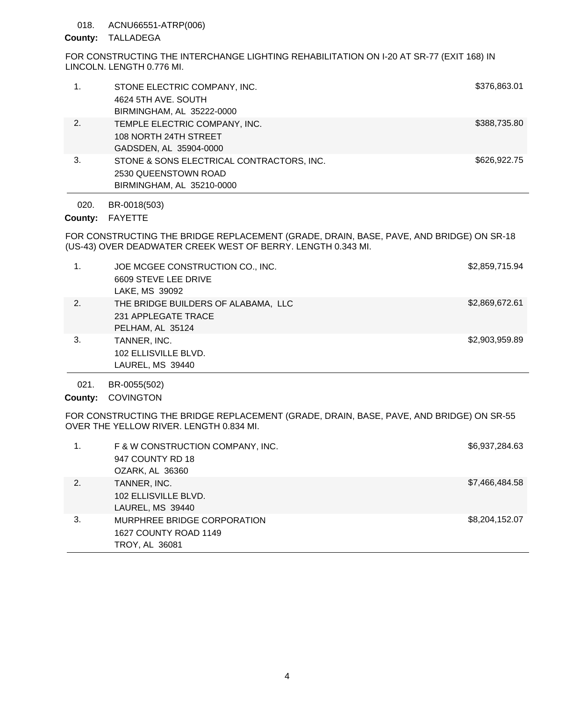## 018. ACNU66551-ATRP(006)

## County: TALLADEGA

FOR CONSTRUCTING THE INTERCHANGE LIGHTING REHABILITATION ON I-20 AT SR-77 (EXIT 168) IN LINCOLN. LENGTH 0.776 MI.

|    | STONE ELECTRIC COMPANY, INC.<br>4624 5TH AVE, SOUTH<br>BIRMINGHAM, AL 35222-0000               | \$376,863.01 |
|----|------------------------------------------------------------------------------------------------|--------------|
| 2. | TEMPLE ELECTRIC COMPANY, INC.<br>108 NORTH 24TH STREET<br>GADSDEN, AL 35904-0000               | \$388,735.80 |
| 3. | STONE & SONS ELECTRICAL CONTRACTORS, INC.<br>2530 QUEENSTOWN ROAD<br>BIRMINGHAM, AL 35210-0000 | \$626,922.75 |

BR-0018(503) 020.

County: FAYETTE

FOR CONSTRUCTING THE BRIDGE REPLACEMENT (GRADE, DRAIN, BASE, PAVE, AND BRIDGE) ON SR-18 (US-43) OVER DEADWATER CREEK WEST OF BERRY. LENGTH 0.343 MI.

| $\mathbf{1}$ . | JOE MCGEE CONSTRUCTION CO., INC.<br>6609 STEVE LEE DRIVE<br>LAKE, MS 39092     | \$2,859,715.94 |
|----------------|--------------------------------------------------------------------------------|----------------|
| 2.             | THE BRIDGE BUILDERS OF ALABAMA, LLC<br>231 APPLEGATE TRACE<br>PELHAM, AL 35124 | \$2,869,672.61 |
| 3.             | TANNER, INC.<br>102 ELLISVILLE BLVD.<br>LAUREL, MS 39440                       | \$2,903,959.89 |

BR-0055(502) 021.

County: COVINGTON

FOR CONSTRUCTING THE BRIDGE REPLACEMENT (GRADE, DRAIN, BASE, PAVE, AND BRIDGE) ON SR-55 OVER THE YELLOW RIVER. LENGTH 0.834 MI.

|    | F & W CONSTRUCTION COMPANY, INC.<br>947 COUNTY RD 18<br>OZARK, AL 36360 | \$6,937,284.63 |
|----|-------------------------------------------------------------------------|----------------|
| 2. | TANNER, INC.<br>102 ELLISVILLE BLVD.<br>LAUREL, MS 39440                | \$7,466,484.58 |
| 3. | MURPHREE BRIDGE CORPORATION<br>1627 COUNTY ROAD 1149<br>TROY, AL 36081  | \$8,204,152.07 |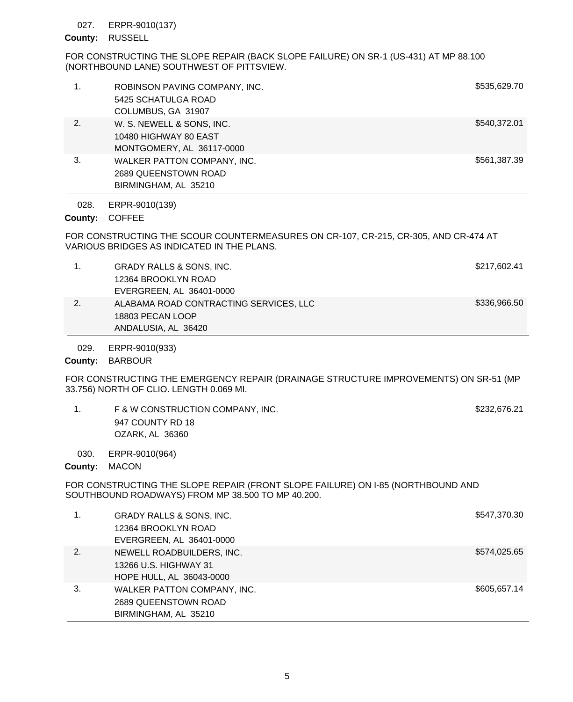#### ERPR-9010(137) 027.

### County: RUSSELL

FOR CONSTRUCTING THE SLOPE REPAIR (BACK SLOPE FAILURE) ON SR-1 (US-431) AT MP 88.100 (NORTHBOUND LANE) SOUTHWEST OF PITTSVIEW.

| 1.   | ROBINSON PAVING COMPANY, INC.<br>5425 SCHATULGA ROAD<br>COLUMBUS, GA 31907      | \$535,629.70 |
|------|---------------------------------------------------------------------------------|--------------|
| 2.   | W. S. NEWELL & SONS, INC.<br>10480 HIGHWAY 80 EAST<br>MONTGOMERY, AL 36117-0000 | \$540,372.01 |
| 3.   | WALKER PATTON COMPANY, INC.<br>2689 QUEENSTOWN ROAD<br>BIRMINGHAM, AL 35210     | \$561,387.39 |
| 028. | ERPR-9010(139)                                                                  |              |

# County: COFFEE

FOR CONSTRUCTING THE SCOUR COUNTERMEASURES ON CR-107, CR-215, CR-305, AND CR-474 AT VARIOUS BRIDGES AS INDICATED IN THE PLANS.

|    | GRADY RALLS & SONS, INC.               | \$217,602.41 |
|----|----------------------------------------|--------------|
|    | 12364 BROOKLYN ROAD                    |              |
|    | EVERGREEN, AL 36401-0000               |              |
| 2. | ALABAMA ROAD CONTRACTING SERVICES, LLC | \$336,966.50 |
|    | 18803 PECAN LOOP                       |              |
|    | ANDALUSIA, AL 36420                    |              |

ERPR-9010(933) 029.

County: BARBOUR

FOR CONSTRUCTING THE EMERGENCY REPAIR (DRAINAGE STRUCTURE IMPROVEMENTS) ON SR-51 (MP 33.756) NORTH OF CLIO. LENGTH 0.069 MI.

| F & W CONSTRUCTION COMPANY, INC. | \$232,676.21 |
|----------------------------------|--------------|
| 947 COUNTY RD 18                 |              |
| OZARK, AL 36360                  |              |

ERPR-9010(964) 030.

## County: MACON

FOR CONSTRUCTING THE SLOPE REPAIR (FRONT SLOPE FAILURE) ON I-85 (NORTHBOUND AND SOUTHBOUND ROADWAYS) FROM MP 38.500 TO MP 40.200.

|    | <b>GRADY RALLS &amp; SONS, INC.</b> | \$547,370.30 |
|----|-------------------------------------|--------------|
|    | 12364 BROOKLYN ROAD                 |              |
|    | EVERGREEN, AL 36401-0000            |              |
| 2. | NEWELL ROADBUILDERS, INC.           | \$574,025.65 |
|    | 13266 U.S. HIGHWAY 31               |              |
|    | HOPE HULL, AL 36043-0000            |              |
| 3. | WALKER PATTON COMPANY, INC.         | \$605,657.14 |
|    | 2689 QUEENSTOWN ROAD                |              |
|    | BIRMINGHAM, AL 35210                |              |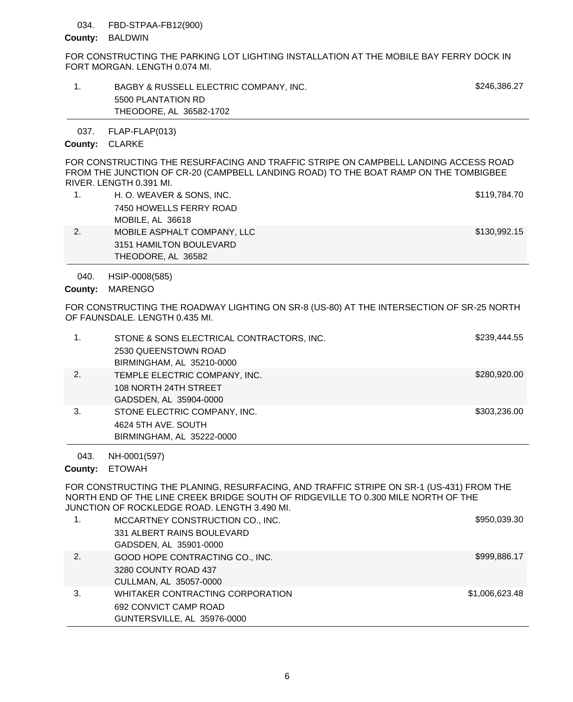## FBD-STPAA-FB12(900) 034.

#### County: BALDWIN

FOR CONSTRUCTING THE PARKING LOT LIGHTING INSTALLATION AT THE MOBILE BAY FERRY DOCK IN FORT MORGAN. LENGTH 0.074 MI.

| BAGBY & RUSSELL ELECTRIC COMPANY, INC. | \$246.386.27 |
|----------------------------------------|--------------|
| 5500 PLANTATION RD                     |              |
| THEODORE, AL 36582-1702                |              |

FLAP-FLAP(013) 037.

## County: CLARKE

FOR CONSTRUCTING THE RESURFACING AND TRAFFIC STRIPE ON CAMPBELL LANDING ACCESS ROAD FROM THE JUNCTION OF CR-20 (CAMPBELL LANDING ROAD) TO THE BOAT RAMP ON THE TOMBIGBEE RIVER. LENGTH 0.391 MI.

| H. O. WEAVER & SONS, INC.   | \$119,784.70 |
|-----------------------------|--------------|
| 7450 HOWELLS FERRY ROAD     |              |
| MOBILE, AL 36618            |              |
| MOBILE ASPHALT COMPANY, LLC | \$130,992.15 |
| 3151 HAMILTON BOULEVARD     |              |
| THEODORE, AL 36582          |              |

HSIP-0008(585) 040.

County: MARENGO

FOR CONSTRUCTING THE ROADWAY LIGHTING ON SR-8 (US-80) AT THE INTERSECTION OF SR-25 NORTH OF FAUNSDALE. LENGTH 0.435 MI.

|    | STONE & SONS ELECTRICAL CONTRACTORS, INC.<br>2530 QUEENSTOWN ROAD<br>BIRMINGHAM, AL 35210-0000 | \$239,444.55 |
|----|------------------------------------------------------------------------------------------------|--------------|
| 2. | TEMPLE ELECTRIC COMPANY, INC.<br>108 NORTH 24TH STREET<br>GADSDEN, AL 35904-0000               | \$280,920.00 |
| 3. | STONE ELECTRIC COMPANY, INC.<br>4624 5TH AVE, SOUTH<br>BIRMINGHAM, AL 35222-0000               | \$303,236.00 |

NH-0001(597) 043.

County: ETOWAH

FOR CONSTRUCTING THE PLANING, RESURFACING, AND TRAFFIC STRIPE ON SR-1 (US-431) FROM THE NORTH END OF THE LINE CREEK BRIDGE SOUTH OF RIDGEVILLE TO 0.300 MILE NORTH OF THE JUNCTION OF ROCKLEDGE ROAD. LENGTH 3.490 MI.

| 1. | MCCARTNEY CONSTRUCTION CO., INC. | \$950,039.30   |
|----|----------------------------------|----------------|
|    | 331 ALBERT RAINS BOULEVARD       |                |
|    | GADSDEN, AL 35901-0000           |                |
| 2. | GOOD HOPE CONTRACTING CO., INC.  | \$999,886.17   |
|    | 3280 COUNTY ROAD 437             |                |
|    | CULLMAN, AL 35057-0000           |                |
| 3. | WHITAKER CONTRACTING CORPORATION | \$1,006,623.48 |
|    | 692 CONVICT CAMP ROAD            |                |
|    | GUNTERSVILLE, AL 35976-0000      |                |
|    |                                  |                |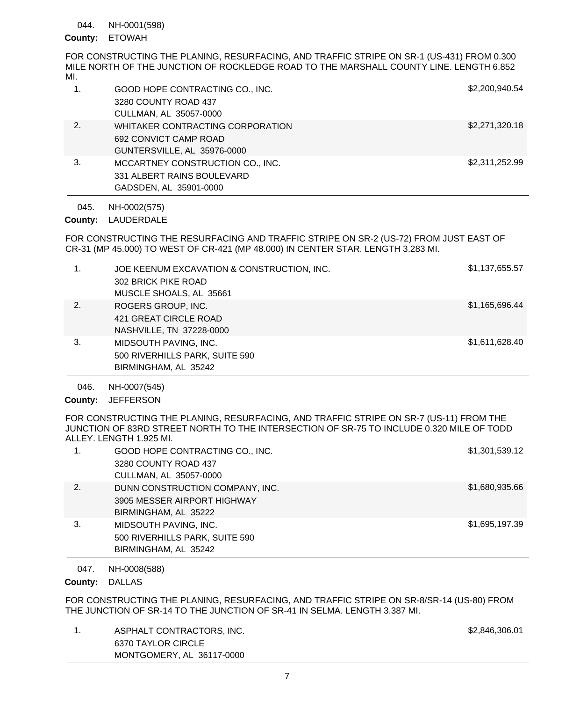NH-0001(598) 044.

# County: ETOWAH

FOR CONSTRUCTING THE PLANING, RESURFACING, AND TRAFFIC STRIPE ON SR-1 (US-431) FROM 0.300 MILE NORTH OF THE JUNCTION OF ROCKLEDGE ROAD TO THE MARSHALL COUNTY LINE. LENGTH 6.852 MI.

| 1. | GOOD HOPE CONTRACTING CO., INC.<br>3280 COUNTY ROAD 437<br>CULLMAN, AL 35057-0000        | \$2,200,940.54 |
|----|------------------------------------------------------------------------------------------|----------------|
| 2. | WHITAKER CONTRACTING CORPORATION<br>692 CONVICT CAMP ROAD<br>GUNTERSVILLE, AL 35976-0000 | \$2,271,320.18 |
| 3. | MCCARTNEY CONSTRUCTION CO., INC.<br>331 ALBERT RAINS BOULEVARD<br>GADSDEN, AL 35901-0000 | \$2,311,252.99 |

NH-0002(575) 045.

County: LAUDERDALE

FOR CONSTRUCTING THE RESURFACING AND TRAFFIC STRIPE ON SR-2 (US-72) FROM JUST EAST OF CR-31 (MP 45.000) TO WEST OF CR-421 (MP 48.000) IN CENTER STAR. LENGTH 3.283 MI.

| $\mathbf 1$ . | JOE KEENUM EXCAVATION & CONSTRUCTION, INC.<br>302 BRICK PIKE ROAD<br>MUSCLE SHOALS, AL 35661 | \$1,137,655.57 |
|---------------|----------------------------------------------------------------------------------------------|----------------|
| 2.            | ROGERS GROUP, INC.<br>421 GREAT CIRCLE ROAD<br>NASHVILLE, TN 37228-0000                      | \$1,165,696.44 |
| 3.            | MIDSOUTH PAVING, INC.<br>500 RIVERHILLS PARK, SUITE 590<br>BIRMINGHAM, AL 35242              | \$1,611,628.40 |

NH-0007(545) 046.

County: JEFFERSON

FOR CONSTRUCTING THE PLANING, RESURFACING, AND TRAFFIC STRIPE ON SR-7 (US-11) FROM THE JUNCTION OF 83RD STREET NORTH TO THE INTERSECTION OF SR-75 TO INCLUDE 0.320 MILE OF TODD ALLEY. LENGTH 1.925 MI.

|    | GOOD HOPE CONTRACTING CO., INC.<br>3280 COUNTY ROAD 437 | \$1,301,539.12 |
|----|---------------------------------------------------------|----------------|
|    | CULLMAN, AL 35057-0000                                  |                |
| 2. | DUNN CONSTRUCTION COMPANY, INC.                         | \$1,680,935.66 |
|    | 3905 MESSER AIRPORT HIGHWAY                             |                |
|    | BIRMINGHAM, AL 35222                                    |                |
| 3. | MIDSOUTH PAVING, INC.                                   | \$1,695,197.39 |
|    | 500 RIVERHILLS PARK, SUITE 590                          |                |
|    | BIRMINGHAM, AL 35242                                    |                |
|    |                                                         |                |

NH-0008(588) 047.

County: DALLAS

FOR CONSTRUCTING THE PLANING, RESURFACING, AND TRAFFIC STRIPE ON SR-8/SR-14 (US-80) FROM THE JUNCTION OF SR-14 TO THE JUNCTION OF SR-41 IN SELMA. LENGTH 3.387 MI.

1. ASPHALT CONTRACTORS, INC. And the state of the state of the state of the state of the state of the state of the state of the state of the state of the state of the state of the state of the state of the state of the sta 6370 TAYLOR CIRCLE MONTGOMERY, AL 36117-0000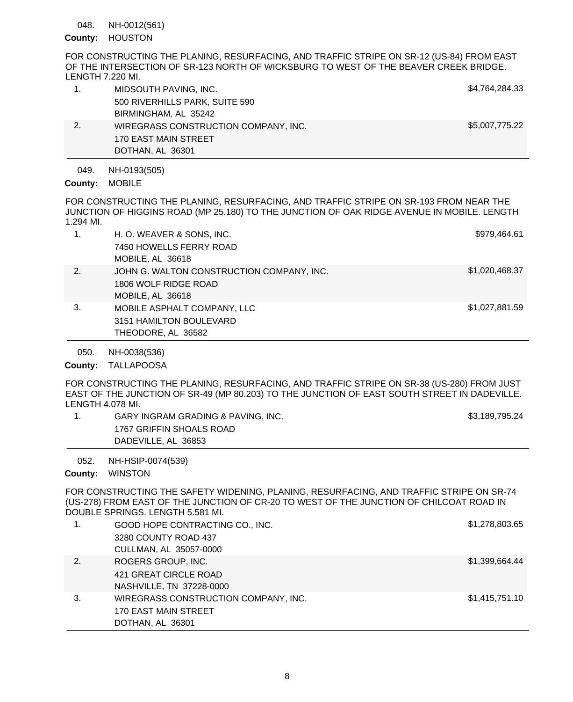NH-0012(561) 048.

# County: HOUSTON

FOR CONSTRUCTING THE PLANING, RESURFACING, AND TRAFFIC STRIPE ON SR-12 (US-84) FROM EAST OF THE INTERSECTION OF SR-123 NORTH OF WICKSBURG TO WEST OF THE BEAVER CREEK BRIDGE. LENGTH 7.220 MI.

|    | MIDSOUTH PAVING, INC.                | \$4,764,284.33 |
|----|--------------------------------------|----------------|
|    | 500 RIVERHILLS PARK, SUITE 590       |                |
|    | BIRMINGHAM, AL 35242                 |                |
| 2. | WIREGRASS CONSTRUCTION COMPANY, INC. | \$5,007,775.22 |
|    | 170 EAST MAIN STREET                 |                |
|    | DOTHAN, AL 36301                     |                |

#### NH-0193(505) 049.

County: MOBILE

FOR CONSTRUCTING THE PLANING, RESURFACING, AND TRAFFIC STRIPE ON SR-193 FROM NEAR THE JUNCTION OF HIGGINS ROAD (MP 25.180) TO THE JUNCTION OF OAK RIDGE AVENUE IN MOBILE. LENGTH 1.294 MI.

|    | H. O. WEAVER & SONS, INC.                 | \$979,464.61   |
|----|-------------------------------------------|----------------|
|    | 7450 HOWELLS FERRY ROAD                   |                |
|    | MOBILE, AL 36618                          |                |
| 2. | JOHN G. WALTON CONSTRUCTION COMPANY, INC. | \$1,020,468.37 |
|    | 1806 WOLF RIDGE ROAD                      |                |
|    | MOBILE, AL 36618                          |                |
| 3. | MOBILE ASPHALT COMPANY, LLC               | \$1,027,881.59 |
|    | 3151 HAMILTON BOULEVARD                   |                |
|    | THEODORE, AL 36582                        |                |

NH-0038(536) 050.

County: TALLAPOOSA

FOR CONSTRUCTING THE PLANING, RESURFACING, AND TRAFFIC STRIPE ON SR-38 (US-280) FROM JUST EAST OF THE JUNCTION OF SR-49 (MP 80.203) TO THE JUNCTION OF EAST SOUTH STREET IN DADEVILLE. LENGTH 4.078 MI.

1. GARY INGRAM GRADING & PAVING, INC. The state of the state of the state of the S3,189,795.24 1767 GRIFFIN SHOALS ROAD DADEVILLE, AL 36853

NH-HSIP-0074(539) 052.

County: WINSTON

FOR CONSTRUCTING THE SAFETY WIDENING, PLANING, RESURFACING, AND TRAFFIC STRIPE ON SR-74 (US-278) FROM EAST OF THE JUNCTION OF CR-20 TO WEST OF THE JUNCTION OF CHILCOAT ROAD IN DOUBLE SPRINGS. LENGTH 5.581 MI.

| 1. | GOOD HOPE CONTRACTING CO., INC.      | \$1,278,803.65 |
|----|--------------------------------------|----------------|
|    | 3280 COUNTY ROAD 437                 |                |
|    | CULLMAN, AL 35057-0000               |                |
| 2. | ROGERS GROUP, INC.                   | \$1,399,664.44 |
|    | 421 GREAT CIRCLE ROAD                |                |
|    | NASHVILLE, TN 37228-0000             |                |
| 3. | WIREGRASS CONSTRUCTION COMPANY, INC. | \$1,415,751.10 |
|    | 170 EAST MAIN STREET                 |                |
|    | DOTHAN, AL 36301                     |                |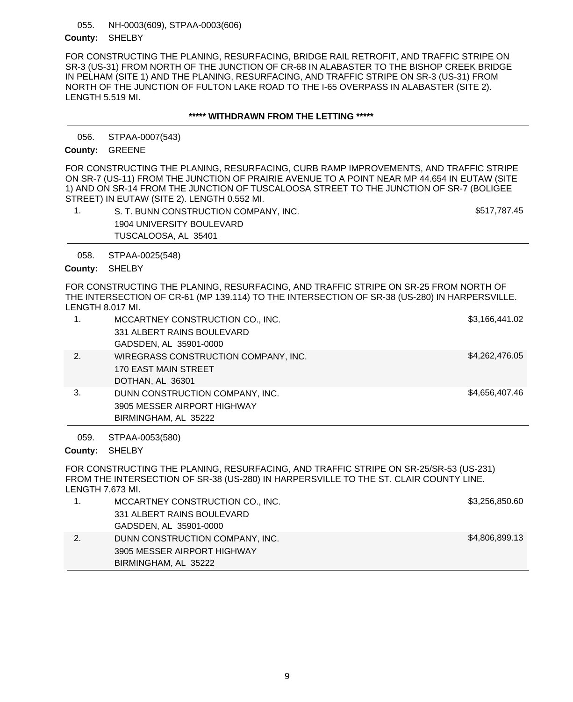NH-0003(609), STPAA-0003(606) County: SHELBY 055.

FOR CONSTRUCTING THE PLANING, RESURFACING, BRIDGE RAIL RETROFIT, AND TRAFFIC STRIPE ON SR-3 (US-31) FROM NORTH OF THE JUNCTION OF CR-68 IN ALABASTER TO THE BISHOP CREEK BRIDGE IN PELHAM (SITE 1) AND THE PLANING, RESURFACING, AND TRAFFIC STRIPE ON SR-3 (US-31) FROM NORTH OF THE JUNCTION OF FULTON LAKE ROAD TO THE I-65 OVERPASS IN ALABASTER (SITE 2). LENGTH 5.519 MI.

## **\*\*\*\*\* WITHDRAWN FROM THE LETTING \*\*\*\*\***

STPAA-0007(543) 056.

County: GREENE

FOR CONSTRUCTING THE PLANING, RESURFACING, CURB RAMP IMPROVEMENTS, AND TRAFFIC STRIPE ON SR-7 (US-11) FROM THE JUNCTION OF PRAIRIE AVENUE TO A POINT NEAR MP 44.654 IN EUTAW (SITE 1) AND ON SR-14 FROM THE JUNCTION OF TUSCALOOSA STREET TO THE JUNCTION OF SR-7 (BOLIGEE STREET) IN EUTAW (SITE 2). LENGTH 0.552 MI.

| S. T. BUNN CONSTRUCTION COMPANY, INC. | \$517,787.45 |
|---------------------------------------|--------------|
| 1904 UNIVERSITY BOULEVARD             |              |
| TUSCALOOSA, AL 35401                  |              |

STPAA-0025(548) 058.

County: SHELBY

FOR CONSTRUCTING THE PLANING, RESURFACING, AND TRAFFIC STRIPE ON SR-25 FROM NORTH OF THE INTERSECTION OF CR-61 (MP 139.114) TO THE INTERSECTION OF SR-38 (US-280) IN HARPERSVILLE. LENGTH 8.017 MI.

|    | MCCARTNEY CONSTRUCTION CO., INC.     | \$3,166,441.02 |
|----|--------------------------------------|----------------|
|    | 331 ALBERT RAINS BOULEVARD           |                |
|    | GADSDEN, AL 35901-0000               |                |
| 2. | WIREGRASS CONSTRUCTION COMPANY, INC. | \$4,262,476.05 |
|    | 170 EAST MAIN STREET                 |                |
|    | DOTHAN, AL 36301                     |                |
| 3. | DUNN CONSTRUCTION COMPANY, INC.      | \$4,656,407.46 |
|    | 3905 MESSER AIRPORT HIGHWAY          |                |
|    | BIRMINGHAM, AL 35222                 |                |
|    |                                      |                |

STPAA-0053(580) 059.

County: SHELBY

FOR CONSTRUCTING THE PLANING, RESURFACING, AND TRAFFIC STRIPE ON SR-25/SR-53 (US-231) FROM THE INTERSECTION OF SR-38 (US-280) IN HARPERSVILLE TO THE ST. CLAIR COUNTY LINE. LENGTH 7.673 MI.

| MCCARTNEY CONSTRUCTION CO., INC. | \$3,256,850.60 |
|----------------------------------|----------------|
| 331 ALBERT RAINS BOULEVARD       |                |
| GADSDEN, AL 35901-0000           |                |
| DUNN CONSTRUCTION COMPANY, INC.  | \$4,806,899.13 |
| 3905 MESSER AIRPORT HIGHWAY      |                |
| BIRMINGHAM, AL 35222             |                |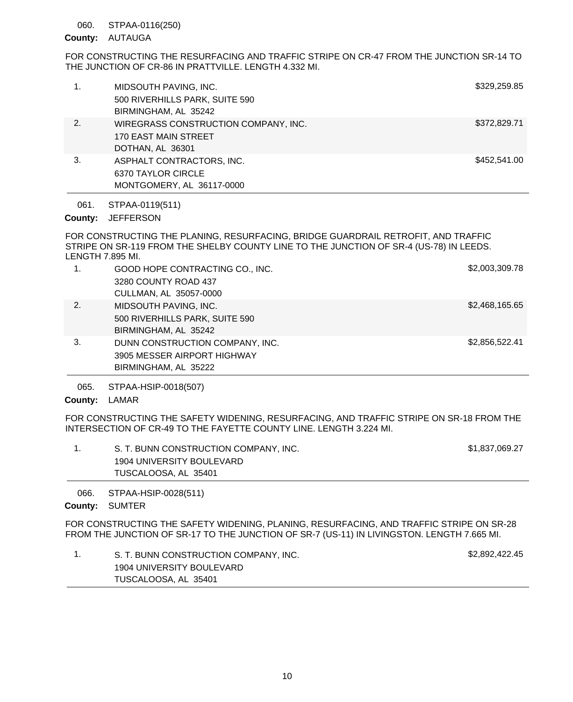#### STPAA-0116(250) 060.

## County: AUTAUGA

FOR CONSTRUCTING THE RESURFACING AND TRAFFIC STRIPE ON CR-47 FROM THE JUNCTION SR-14 TO THE JUNCTION OF CR-86 IN PRATTVILLE. LENGTH 4.332 MI.

| 1. | MIDSOUTH PAVING, INC.<br>500 RIVERHILLS PARK, SUITE 590<br>BIRMINGHAM, AL 35242  | \$329,259.85 |
|----|----------------------------------------------------------------------------------|--------------|
| 2. | WIREGRASS CONSTRUCTION COMPANY, INC.<br>170 EAST MAIN STREET<br>DOTHAN, AL 36301 | \$372,829.71 |
| 3. | ASPHALT CONTRACTORS, INC.<br>6370 TAYLOR CIRCLE<br>MONTGOMERY, AL 36117-0000     | \$452,541.00 |

STPAA-0119(511) 061.

# County: JEFFERSON

FOR CONSTRUCTING THE PLANING, RESURFACING, BRIDGE GUARDRAIL RETROFIT, AND TRAFFIC STRIPE ON SR-119 FROM THE SHELBY COUNTY LINE TO THE JUNCTION OF SR-4 (US-78) IN LEEDS. LENGTH 7.895 MI.

| 1. | GOOD HOPE CONTRACTING CO., INC.<br>3280 COUNTY ROAD 437<br>CULLMAN, AL 35057-0000      | \$2,003,309.78 |
|----|----------------------------------------------------------------------------------------|----------------|
| 2. | MIDSOUTH PAVING, INC.<br>500 RIVERHILLS PARK, SUITE 590<br>BIRMINGHAM, AL 35242        | \$2,468,165.65 |
| 3. | DUNN CONSTRUCTION COMPANY, INC.<br>3905 MESSER AIRPORT HIGHWAY<br>BIRMINGHAM, AL 35222 | \$2,856,522.41 |

STPAA-HSIP-0018(507) 065.

# County: LAMAR

FOR CONSTRUCTING THE SAFETY WIDENING, RESURFACING, AND TRAFFIC STRIPE ON SR-18 FROM THE INTERSECTION OF CR-49 TO THE FAYETTE COUNTY LINE. LENGTH 3.224 MI.

| S. T. BUNN CONSTRUCTION COMPANY, INC. | \$1,837,069.27 |
|---------------------------------------|----------------|
| 1904 UNIVERSITY BOULEVARD             |                |
| TUSCALOOSA, AL 35401                  |                |

STPAA-HSIP-0028(511) 066.

County: SUMTER

FOR CONSTRUCTING THE SAFETY WIDENING, PLANING, RESURFACING, AND TRAFFIC STRIPE ON SR-28 FROM THE JUNCTION OF SR-17 TO THE JUNCTION OF SR-7 (US-11) IN LIVINGSTON. LENGTH 7.665 MI.

| S. T. BUNN CONSTRUCTION COMPANY, INC. | \$2,892,422.45 |
|---------------------------------------|----------------|
| 1904 UNIVERSITY BOULEVARD             |                |
| TUSCALOOSA, AL 35401                  |                |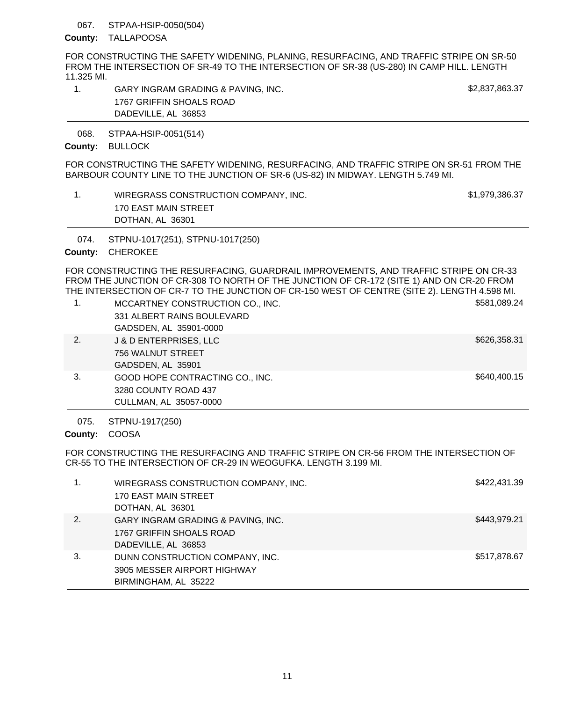#### STPAA-HSIP-0050(504) 067.

### County: TALLAPOOSA

FOR CONSTRUCTING THE SAFETY WIDENING, PLANING, RESURFACING, AND TRAFFIC STRIPE ON SR-50 FROM THE INTERSECTION OF SR-49 TO THE INTERSECTION OF SR-38 (US-280) IN CAMP HILL. LENGTH 11.325 MI.

| GARY INGRAM GRADING & PAVING. INC. | \$2,837,863.37 |
|------------------------------------|----------------|
| 1767 GRIFFIN SHOALS ROAD           |                |
| DADEVILLE, AL 36853                |                |

STPAA-HSIP-0051(514) 068.

County: BULLOCK

FOR CONSTRUCTING THE SAFETY WIDENING, RESURFACING, AND TRAFFIC STRIPE ON SR-51 FROM THE BARBOUR COUNTY LINE TO THE JUNCTION OF SR-6 (US-82) IN MIDWAY. LENGTH 5.749 MI.

| WIREGRASS CONSTRUCTION COMPANY, INC. | \$1,979,386.37 |
|--------------------------------------|----------------|
| 170 EAST MAIN STREET                 |                |
| DOTHAN, AL 36301                     |                |
|                                      |                |

STPNU-1017(251), STPNU-1017(250) 074.

# County: CHEROKEE

FOR CONSTRUCTING THE RESURFACING, GUARDRAIL IMPROVEMENTS, AND TRAFFIC STRIPE ON CR-33 FROM THE JUNCTION OF CR-308 TO NORTH OF THE JUNCTION OF CR-172 (SITE 1) AND ON CR-20 FROM THE INTERSECTION OF CR-7 TO THE JUNCTION OF CR-150 WEST OF CENTRE (SITE 2). LENGTH 4.598 MI.

| 1. | MCCARTNEY CONSTRUCTION CO., INC. | \$581,089.24 |
|----|----------------------------------|--------------|
|    | 331 ALBERT RAINS BOULEVARD       |              |
|    | GADSDEN, AL 35901-0000           |              |
| 2. | J & D ENTERPRISES, LLC           | \$626,358.31 |
|    | 756 WALNUT STREET                |              |
|    | GADSDEN, AL 35901                |              |
| 3. | GOOD HOPE CONTRACTING CO., INC.  | \$640,400.15 |
|    | 3280 COUNTY ROAD 437             |              |
|    | CULLMAN, AL 35057-0000           |              |

STPNU-1917(250) 075.

County: COOSA

FOR CONSTRUCTING THE RESURFACING AND TRAFFIC STRIPE ON CR-56 FROM THE INTERSECTION OF CR-55 TO THE INTERSECTION OF CR-29 IN WEOGUFKA. LENGTH 3.199 MI.

|    | WIREGRASS CONSTRUCTION COMPANY, INC.<br>170 EAST MAIN STREET<br>DOTHAN, AL 36301       | \$422,431.39 |
|----|----------------------------------------------------------------------------------------|--------------|
| 2. | GARY INGRAM GRADING & PAVING, INC.<br>1767 GRIFFIN SHOALS ROAD<br>DADEVILLE, AL 36853  | \$443,979.21 |
| 3. | DUNN CONSTRUCTION COMPANY, INC.<br>3905 MESSER AIRPORT HIGHWAY<br>BIRMINGHAM, AL 35222 | \$517,878.67 |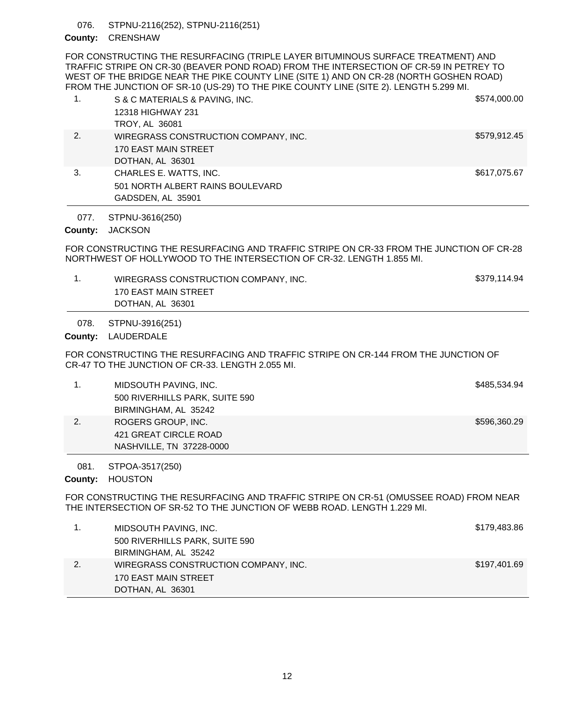STPNU-2116(252), STPNU-2116(251) 076.

# County: **CRENSHAW**

FOR CONSTRUCTING THE RESURFACING (TRIPLE LAYER BITUMINOUS SURFACE TREATMENT) AND TRAFFIC STRIPE ON CR-30 (BEAVER POND ROAD) FROM THE INTERSECTION OF CR-59 IN PETREY TO WEST OF THE BRIDGE NEAR THE PIKE COUNTY LINE (SITE 1) AND ON CR-28 (NORTH GOSHEN ROAD) FROM THE JUNCTION OF SR-10 (US-29) TO THE PIKE COUNTY LINE (SITE 2). LENGTH 5.299 MI.

|    | S & C MATERIALS & PAVING, INC.       | \$574,000.00 |
|----|--------------------------------------|--------------|
|    | 12318 HIGHWAY 231                    |              |
|    | <b>TROY, AL 36081</b>                |              |
| 2. | WIREGRASS CONSTRUCTION COMPANY, INC. | \$579,912.45 |
|    | 170 EAST MAIN STREET                 |              |
|    | DOTHAN, AL 36301                     |              |

3. CHARLES E. WATTS, INC. **\$617,075.67** 501 NORTH ALBERT RAINS BOULEVARD GADSDEN, AL 35901

STPNU-3616(250) 077.

County: JACKSON

FOR CONSTRUCTING THE RESURFACING AND TRAFFIC STRIPE ON CR-33 FROM THE JUNCTION OF CR-28 NORTHWEST OF HOLLYWOOD TO THE INTERSECTION OF CR-32. LENGTH 1.855 MI.

1. WIREGRASS CONSTRUCTION COMPANY, INC. \$379,114.94 170 EAST MAIN STREET DOTHAN, AL 36301

STPNU-3916(251) 078.

# County: LAUDERDALE

FOR CONSTRUCTING THE RESURFACING AND TRAFFIC STRIPE ON CR-144 FROM THE JUNCTION OF CR-47 TO THE JUNCTION OF CR-33. LENGTH 2.055 MI.

|    | MIDSOUTH PAVING, INC.          | \$485,534.94 |
|----|--------------------------------|--------------|
|    | 500 RIVERHILLS PARK, SUITE 590 |              |
|    | BIRMINGHAM, AL 35242           |              |
| 2. | ROGERS GROUP, INC.             | \$596,360.29 |
|    | 421 GREAT CIRCLE ROAD          |              |
|    | NASHVILLE, TN 37228-0000       |              |

STPOA-3517(250) 081.

County: HOUSTON

FOR CONSTRUCTING THE RESURFACING AND TRAFFIC STRIPE ON CR-51 (OMUSSEE ROAD) FROM NEAR THE INTERSECTION OF SR-52 TO THE JUNCTION OF WEBB ROAD. LENGTH 1.229 MI.

| 1. | MIDSOUTH PAVING, INC.                | \$179,483.86 |
|----|--------------------------------------|--------------|
|    | 500 RIVERHILLS PARK, SUITE 590       |              |
|    | BIRMINGHAM, AL 35242                 |              |
| 2. | WIREGRASS CONSTRUCTION COMPANY, INC. | \$197,401.69 |
|    | 170 EAST MAIN STREET                 |              |
|    | DOTHAN, AL 36301                     |              |